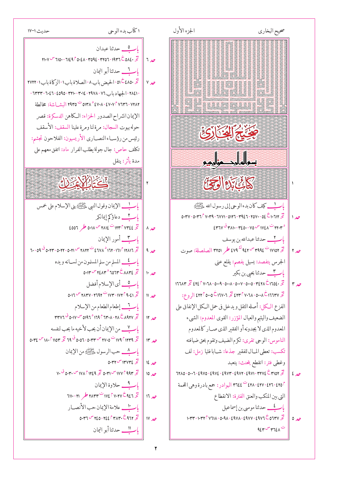| اكتاب بدء الوحي<br>حديث ١٧-١٧                                                                                                                                                                                                                                                                                                                                                                                                                                                                                                                        |                   | الجزءالأول | صحيح البخاري                                                                                                                                                                                                                                                                                                   |      |
|------------------------------------------------------------------------------------------------------------------------------------------------------------------------------------------------------------------------------------------------------------------------------------------------------------------------------------------------------------------------------------------------------------------------------------------------------------------------------------------------------------------------------------------------------|-------------------|------------|----------------------------------------------------------------------------------------------------------------------------------------------------------------------------------------------------------------------------------------------------------------------------------------------------------------|------|
| باب ____ حدثنا عبدان<br>$11.9 - 710 - 7129$ $^{\circ}$ 0.21 - 1092 - 11092 - 1931 - 1947 $\circ$ 0.22 $\frac{3}{2}$   7<br>تخ ٤٨٥٠ - أخيض باب ٨ - الصلاة باب ١ - الزكاة باب ١ - ٢٧٢٢<br>- ٢٨٤١ - الجهاد باب ٢٦ - ٢٩٧٨ - ٢٠١٤ - ٢٣٣٠ - ٢٥٩٥ - ٣٢١٠ - ٦٣٣٣ -<br>٥١٣٨ - ٢٩٣٦ - ٤٧٠٧ - ٥١٣٨ - ٥١٣٨ - ٥١٣٥ - ١٩٣٥ البشــاشة: مخالطة<br>الإيمان انشراح الصدور الحزاء: الكاهن الدسكرة: قصر<br>حوله بيوت السجال: مرة لنا ومرة علينا السقف: الأسقف<br>رئيس من رؤســاءالنصــاري الأريسيون: الفلاحون تجشم:<br>تكلف حاص: جال جولة يطلب الفرار ماد: اتفق معهم على | $\ $ $\vee$ $\in$ |            | <u>Kanada (Kanada) ya kusa</u><br>ARA TARA<br>TARA TARA<br>كَمِيَ يَمْ إِلَيْنَ إِنَّى                                                                                                                                                                                                                         |      |
| مدة يأثر: ينقل                                                                                                                                                                                                                                                                                                                                                                                                                                                                                                                                       |                   |            | سواه ایکمواریم                                                                                                                                                                                                                                                                                                 |      |
| فَتَعَتَبَ لِكُنَّ يَتَنَبَّلُوا                                                                                                                                                                                                                                                                                                                                                                                                                                                                                                                     |                   |            | التي يتبايع التحكي                                                                                                                                                                                                                                                                                             |      |
| باب __ الإيمان وقول النبي ﷺ بني الإسلام على خمس                                                                                                                                                                                                                                                                                                                                                                                                                                                                                                      |                   |            | باك يحف كان بدء الوحي إلى رسول الله عليه السي                                                                                                                                                                                                                                                                  |      |
| باب __ دعاؤكم إيمانكر                                                                                                                                                                                                                                                                                                                                                                                                                                                                                                                                |                   |            | 0. ٣٧-٥٠٣٦٢ ٧٠٣٩- ٢٩٤٦- ٣٩٤٦- ٣٩٤٦- ٢٥٧٠- ٥٠٣٦٢ ١٠٣٧- ٥٠٣٧                                                                                                                                                                                                                                                     |      |
| 6007 6.11 - 1112 - 114° - 114° مد ۱۸ 001                                                                                                                                                                                                                                                                                                                                                                                                                                                                                                             |                   |            | $25 - 41$ $\frac{3}{2}$ $\frac{41}{2}$ $\frac{41}{2}$ $\frac{41}{2}$ $\frac{41}{2}$ $\frac{41}{2}$ $\frac{41}{2}$ $\frac{41}{2}$ $\frac{41}{2}$ $\frac{41}{2}$ $\frac{41}{2}$ $\frac{41}{2}$ $\frac{41}{2}$ $\frac{41}{2}$ $\frac{41}{2}$ $\frac{41}{2}$ $\frac{41}{2}$ $\frac{41}{2}$ $\frac{41}{2}$ $\frac{$ |      |
| 7. - 09 $\frac{3}{5}$ 0.14 - 0.14 $\frac{3}{5}$ - 0.11 $\frac{1}{5}$ 174 $\frac{3}{5}$ 174 - 171 $\frac{1}{5}$ 114 - 171 $\frac{3}{5}$                                                                                                                                                                                                                                                                                                                                                                                                               | صد ۱۹             |            | باست حدثنا عبدالله بن يوسف<br>صر ٢    تخ ١٧١٥٢ <sup>ت</sup> ٩٤٢ من ٩٤٢ <sup>ك</sup> ٤٧٩ طر ٣٢٥١ الصلصلة: صوت                                                                                                                                                                                                   |      |
| بإكَّــــ المسلم من سلم المسلمون من لســـانه و يده                                                                                                                                                                                                                                                                                                                                                                                                                                                                                                   |                   |            | الجرس يتفصد: يسيل يفصم: يقلع عني                                                                                                                                                                                                                                                                               |      |
| 0.14 $\sim$ $16.4$ $\sim$ $1074$ $\sim$ $1047$ $\sim$ $\sim$ $\sim$ $\sim$                                                                                                                                                                                                                                                                                                                                                                                                                                                                           |                   |            | ب <mark>اب ب</mark> ے حدثنا یحیی بن بکیر                                                                                                                                                                                                                                                                       |      |
| باب فى أى الإسلام أفضل                                                                                                                                                                                                                                                                                                                                                                                                                                                                                                                               |                   |            | صر ٣    تخ ١٦٥٤٠ تخ ١٦٥٤٠ - ٢٤٢٨ - ٢٠٠٥ - ٢٠٠٩ - ٢٠٨٥ - ٢٩٤٨ تخ ١٦٦٨٣                                                                                                                                                                                                                                          |      |
| 0.17 $\sim$ ۲۸۳۷ - ۲۶۹۲ $\sim$ ۱۷۳ - ۱۷۲۴ ۹.٤۱ $\mathcal{Z}$                                                                                                                                                                                                                                                                                                                                                                                                                                                                                         | حد ۱۱             |            | تخه ۱۶۲۴تانه ۱۳۸۰- ۲۳۸۵ و ۱۶۲۴ت ۲۲۵ و۴۲۰ الروع:                                                                                                                                                                                                                                                                |      |
| بإكسب إطعام الطعام من الإسلام                                                                                                                                                                                                                                                                                                                                                                                                                                                                                                                        |                   |            | الفزع الـكل: أصله الثقل و يدخل في حمل الـكل الإنفاق على                                                                                                                                                                                                                                                        |      |
| $7497 - 2011$                                                                                                                                                                                                                                                                                                                                                                                                                                                                                                                                        | حد ۱۲             |            | الضعيف واليتيم والعيال المؤزر: القوى المعدوم: الشيء                                                                                                                                                                                                                                                            |      |
| بار لا من الإيمان أن يحب لأخيه ما يحب لنفسه                                                                                                                                                                                                                                                                                                                                                                                                                                                                                                          |                   |            | المعدوم الذي لا يجدونه أو الفقير الذي صــار كالمعدوم                                                                                                                                                                                                                                                           |      |
| تخ ١٢٣٩ ١٣٩٩ <sup>ت</sup> ١٧٩٥ <sup>س</sup> ٢٣٣ - ٥٠٥٦ ق ٦٩ تخ ١١٥٣ ق ١٨٠ <sup>س</sup> ١٨٤ ق                                                                                                                                                                                                                                                                                                                                                                                                                                                         | $15^{\circ}$      |            | الناموس: الوحي تقرى: تكرم الضيف وتقوم بحق ضيافته                                                                                                                                                                                                                                                               |      |
| باكم حب الرسول ﷺ من الإيمان                                                                                                                                                                                                                                                                                                                                                                                                                                                                                                                          |                   |            | تكسب: تعطي المـال للفقير جذعا: شــابا فتيا زمل: لف                                                                                                                                                                                                                                                             |      |
| 0. ١٤    تح ١٣٧٣٤ <sup>س</sup> ٥٠٣٢                                                                                                                                                                                                                                                                                                                                                                                                                                                                                                                  |                   |            | وغطى فتر: انقطع يتحنث: يتعبد                                                                                                                                                                                                                                                                                   |      |
| تج ١٧٣ - ١٧٧ مس ٥٠٣١ تج ١٢٤٩ - ١٧٨ مس ٥٠٣٠ ق ٧٠                                                                                                                                                                                                                                                                                                                                                                                                                                                                                                      | 10 <sub>10</sub>  |            | مدع    تخر ٣١٥٢ - ٣٢٧٤ - ٣٩٧٢ - ٣٩٧٢ - ٣٩٧٤ - ٣٩٧٥ - ٣٩٧٥ - ٣٦٨٥ - ٣٦٨٥                                                                                                                                                                                                                                        |      |
| باب السطي حلاوة الإيمان                                                                                                                                                                                                                                                                                                                                                                                                                                                                                                                              |                   |            | ٢٥٤-٤٢١-٤٢٧-٤٢٨ ت ٣٦٤٤ البوادر: جمع بادرة وهي اللحمة                                                                                                                                                                                                                                                           |      |
| $7111 - 11$ $\rightarrow$ $7144 - 1116$ $112 - 112$                                                                                                                                                                                                                                                                                                                                                                                                                                                                                                  | $17 - 10$         |            | التي بين المنكب والعنق الفترة: الانقطاع                                                                                                                                                                                                                                                                        |      |
| باسناب علامة الإيمان حب الأنصــار                                                                                                                                                                                                                                                                                                                                                                                                                                                                                                                    |                   |            | باب کے حدثنا موسی بن إسماعيل                                                                                                                                                                                                                                                                                   |      |
| $0.47$ <sup>U'</sup> $120 - 122$ $0.47$ $0.291$                                                                                                                                                                                                                                                                                                                                                                                                                                                                                                      | $\parallel$ ۱۷ م  |            | $1.44 - 1.44$ $^{\circ}$ $\sqrt{111}$ - 0.91 - 2911 - 2911 - 2917 $\sqrt{2}$                                                                                                                                                                                                                                   | حد ہ |
|                                                                                                                                                                                                                                                                                                                                                                                                                                                                                                                                                      |                   |            | $954$ $-954$                                                                                                                                                                                                                                                                                                   |      |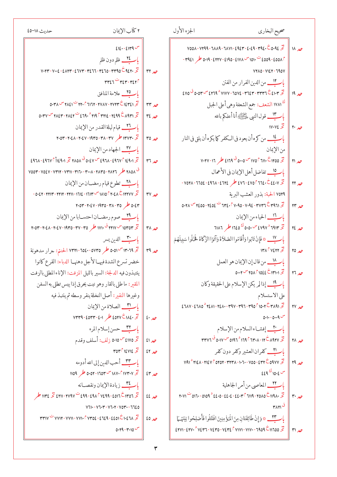| \n $6x^2 - 11x^3 - 11x^2 - 11x^3 - 11x^2 - 11x^3 - 11x^2 - 11x^3 - 11x^2 - 11x^2 - 11x^3 - 11x^2 - 11x^2 - 11x^3 - 11x^2 - 11x^2 - 11x^3 - 11x^2 - 11x^2 - 11x^3 - 11x^2 - 11x^2 - 11x^3 - 11x^2 - 11x^2 - 11x^3 - 11x^2 - 11x^2 - 11x^2 - 11x^3 - 11x^2 - 11x^2 - 11x^3 - 11x^2 - 11x^2 - 11x^3 - 11x^2 - 11x^2 - 11x^2 - 11x^3 - 11x^2 - 11x^2 - 11x^2 - 11x^3 - 11x^2 - 11x^2 - 11x^2 - 11x^3 - 11x^2 - 11x^2 - 11x^2 - 11x^2 - 11x^2 - 11x^2 - 11x^2 - 11x^2 - 11x^2 - 11x^2 - 11x^2 - 11x^2 - 11x^2 - 11x^2 - 11x^2 - 11x^2 - 11x^2 - 11x^2 - 11x^2 - 11x^2 - 11x^2 - 11x^2 - 11x^2 - 11x^2 - 11x^2 - 11x^2 - 11x^2 - 11x^2 - 11x^2 - 11x^2 - 11x^2 - 11x^2 - 11x^2 - 11x^2 - 11x^2 - 11x^2 - 11x^2 - 11x^2 - 11x^2 - 11x^2 - 11x^2 - 11x^2 - 11x^2 - 11x^2 - 11x^2 - 11x^2 - 11x^2 - 11x^2 - 11x^2 - 11x^2 - 11x^2 - 11x^2 - 11x^2 - 11x^2 - 11x^2 - 11x^2 - 11x^2 - 11x^2 - 11x^2 - 11x$ |
|-------------------------------------------------------------------------------------------------------------------------------------------------------------------------------------------------------------------------------------------------------------------------------------------------------------------------------------------------------------------------------------------------------------------------------------------------------------------------------------------------------------------------------------------------------------------------------------------------------------------------------------------------------------------------------------------------------------------------------------------------------------------------------------------------------------------------------------------------------------------------------------------------|
|-------------------------------------------------------------------------------------------------------------------------------------------------------------------------------------------------------------------------------------------------------------------------------------------------------------------------------------------------------------------------------------------------------------------------------------------------------------------------------------------------------------------------------------------------------------------------------------------------------------------------------------------------------------------------------------------------------------------------------------------------------------------------------------------------------------------------------------------------------------------------------------------------|

47.14 
$$
\frac{1}{2}
$$
 48.1  $\frac{1}{2}$  49.1  $\frac{1}{2}$  41.1  $\frac{1}{2}$  42.1  $\frac{1}{2}$  45.1  $\frac{1}{2}$  47.1  $\frac{1}{2}$  48.1  $\frac{1}{2}$  49.1  $\frac{1}{2}$  45.1  $\frac{1}{2}$  47.1  $\frac{1}{2}$  49.1  $\frac{1}{2}$  45.1  $\frac{1}{2}$  47.1  $\frac{1}{2}$  49.1  $\frac{1}{2}$  45.1  $\frac{1}{2}$  47.1  $\frac{1}{2}$  49.1  $\frac{1}{2}$  41.1  $\frac{1}{2}$  45.1  $\frac{1}{2}$  47.1  $\frac{1}{2}$  49.1  $\frac{1}{2}$  41.1  $\frac{1}{2}$  43.1  $\frac{1}{2}$  45.1  $\frac{1}{2}$  47.1  $\frac{1}{2}$  49.1  $\frac{1}{2}$  41.1  $\frac{1}{2}$  45.1  $\frac{1}{2}$  47.1  $\frac{1}{2}$  49.1  $\frac{1}{2}$  41.1  $\frac{1}{2}$  45.1  $\frac{1}{2}$  47.1  $\frac{1}{2}$  49.1  $\frac{1}{2}$  41.1  $\frac{1}{2}$  41.1  $\frac{1}{2}$  45.1  $\frac{1}{2}$  46.1  $\frac{1}{2}$  47.1  $\frac{1}{2}$  48.1  $\frac{1}{2}$  49.1  $\frac{1}{2}$  41.1  $\frac{1}{2}$  45.1  $\frac{1}{2}$  46.1  $\frac{1}{2}$  47.1  $\frac{1}{2}$  49.1  $\frac{1}{2}$  40.1  $\frac{1}{2$ 

حديث ١٨-٤٥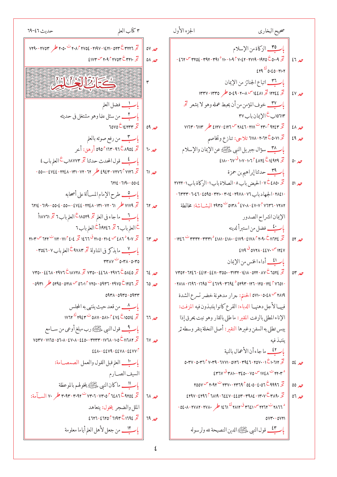|                     | الجزءالأول<br>صحيح البخاري                                                                                                                                                                                    |                         |
|---------------------|---------------------------------------------------------------------------------------------------------------------------------------------------------------------------------------------------------------|-------------------------|
| حد ٥٧<br>$0\Lambda$ | باركاة من الإسلام<br>تخ 4.00 0 1970 - 1941 - 149 - 149 - 149 - 149 - 149 - 149 - 149 - 149 - 149 - 149 - 149                                                                                                  | $27 - 10$               |
| ٣                   | $249 - 0.20 - 11.1$<br>باريك اتباع الجنائز من الإيمان                                                                                                                                                         |                         |
|                     | تح ١٣٣٤ تحر ١٤٤٨١ س ٢٠٠٨-٥٠٤٩ حكر ١٣٣٥-١٣٣٧<br>ب <mark>ا ب<sup>سم</sup>ّل</mark> خوف المؤمن من أن يحبط عمله وهو لا يشعر تح                                                                                    | حد ٤٧                   |
| صر ٥٩               | ١٥٦١٣ب ح الإيمان باب ٣٧<br>تخ ۲۳۰۴ ۹۲۷ ت ۲۸۱۱ - ۲۸۷۲ س ۶۱۲۱ و ۱۲۷ و کم ۱۱۳ - ۱۱۳ ۱                                                                                                                            | $2\lambda$              |
| حد ٦٠               | تح ٥٠٧١خ ٢٠٦٢-٦١١٨ تلاحي: تنازع وتخاصم<br>ب <u>ا مصبح المحمد ال</u> ى الذي عليه السلام المعنى الإيمان والإسلام                                                                                                | $29\text{ to }$         |
| حد اا               | $2111 - 710^{0}111 - 1192$ $2112 - 12979$ $\frac{2}{5}$                                                                                                                                                       | 0.40                    |
|                     | ب <mark>اب ۳۹</mark> حدثنا إبراهيم بن حمزة<br>تخ ٤٨٥٠ تخ ٧-الحيض باب ٨-الصلاة باب١-الزكاة باب١-٢٧٢٢<br>- ۱۳۸٤۱ - باب ۷۱ - ۱۹۷۸ - ۱۳۲۷ - ۲۰۱۷ - ۲۳۱۰ - ۲۵۹۵ - ۱۰ - ۱۳۳۳ -                                      | حد ٥١                   |
| حد ٦٢               | ٥١٣٨ - ٤٧٠٧ - ٤٧٠٨ - ٤٧٠٨ - ٥١٣٨ - ٥١٣٥ - البشــاشة: مخالطة<br>الإيمان انشراح الصدور                                                                                                                          |                         |
| حد ٦٣               | باستيف فضل من استبرأ لدينه<br>۱۲٤۷ <sup>من</sup> ۷۰ ۶٤۷۰ - ۵۷۲۸ ق ۶۱۱۹                                                                                                                                        | 01 <sub>o</sub>         |
|                     | لمركف أداءالخس من الإيمان                                                                                                                                                                                     |                         |
| حد ٦٤               | $V$ ۳0۲ - ٦٢٤٦ - ٤٤١٢ - ٤٤١١ - ٣٥٥٠ - ٣١٣٢ - ١٤١٨ - ٥٢٢ - ٨٧ Č ٦٥٢٤ $\ddot{\mathcal{Z}}$                                                                                                                      | $\circ r$ $\mathcal{L}$ |
| حد ٦٥               | - ۲۸۱۱ - ۱۶۱۲ - ۱۲۳ - ۲۹۳ - ۲۳۹۴ - ۲۳۹۴ - ۲۹۳۹ - ۱۳۹۲ - ۱۳۹۱ - ۲۸۱۸ -<br>٢٨١٩ <sup>س</sup> ٥٠٤٨ - ٥٧١٠ الحنتم: جرار مدهونة خضر تسرع الشدة<br>فيهــا لأجل دهنهــا الدباء: القرع كانوا ينتبذون فيه المزفت:      |                         |
| حد ٦٦               | الإناءالمطلي بالزفت المقير: ماطلي بالقار وهو نبت يحرق إذا<br>يبس تطلى به السفن وغيرها النقير : أصل النخلة ينقر وسطه ثر                                                                                        |                         |
| حد ٦٧               | بنتبذ فبه<br>با <mark>ستق</mark> ما جاءأن الأعمال بالنية                                                                                                                                                      |                         |
|                     | O.۳۷-O.۳٦ ٢٧.٣٩- 7٧٧١- 0127- ٣٩٤٦- ٢٥٧٠- ١ - ٢٠٦١٢<br>$2547$ $\sigma$ $\sigma$ $\mu$ $\lambda$ $\mu$ - $\mu$ $\epsilon$ $\sigma$ - $\sigma$ $\sigma$ $\sigma$ $\mu$ $\sigma$ $\sigma$ $\sigma$ $\mu$ $\sigma$ | 0200                    |
|                     | تخ 7991 <sup>من</sup> ۲۳۷۴ - ۲۳۶۰ - ۲۳۶۰ - ۲۳۷۰ <sup>ت</sup> ۲۰۵۲ <sup>س</sup> ۲۰۵۷                                                                                                                           | $00\sigma$              |
| صر ٦٨               | $2494 - 2197$ $\int$ $7119 - 7224 - 2204 - 4912 - 14.4$                                                                                                                                                       | $07 - 10$               |
|                     | - ٥٤٠٨- ٢٧٨٢- ٣٦٤١ تس ٣٦٤١ ٣ ٢٨١٢ كل ١٤٦١- ٢٧٨٢- ٥٤٠٨- ٥٤٠٨                                                                                                                                                   |                         |
| حد ٦٩               | $0VY - 0VY$<br>باستكف قول النبي عليَّ الدين النصيحة لله ولرسوله                                                                                                                                               |                         |

718-1740° 
$$
\frac{1}{2}
$$
 1740°  $\frac{1}{2}$  1750°  $\frac{1}{2}$  1760°  $\frac{1}{2}$  1774°  $\frac{1}{2}$  17750°  $\frac{1}{2}$  17760°  $\frac{1}{2}$  17770°  $\frac{1}{2}$  17770°  $\frac{1}{2}$  17770°  $\frac{1}{2}$  17770°  $\frac{1}{2}$  17770°  $\frac{1}{2}$  17770°  $\frac{1}{2}$  17770°  $\frac{1}{2}$  17770°  $\frac{1}{2}$  17770°  $\frac{1}{2}$  17770°  $\frac{1}{2}$  17770°  $\frac{1}{2}$  17770°  $\frac{1}{2}$  17770°  $\frac{1}{2}$  17770°  $\frac{1}{2}$  17770°  $\frac{1}{2}$  17770°  $\frac{1}{2}$  17770°  $\frac{1}{2}$  17770°  $\frac{1}{2}$  17770°  $\frac{1}{2}$  17770°  $\frac{1}{2}$  17770°  $\frac{1}{2}$  17770°  $\frac{1}{2}$  17770°  $\frac{1}{2}$  17770°  $\frac{1}{2}$  17770°  $\frac{1}{2}$  17770°  $\frac{1}{2}$  17760°  $\frac{1}{2}$  17760°  $\frac{1}{2}$  17760°  $\frac{1}{2}$  17760°  $\frac{1}{2}$  17760°  $\frac{1}{2}$  17760°  $\frac{1}{2}$  17770°  $\frac{1}{2}$  17770°  $\frac{1}{2}$  17770°  $\frac{1}{2}$  17770°  $\frac$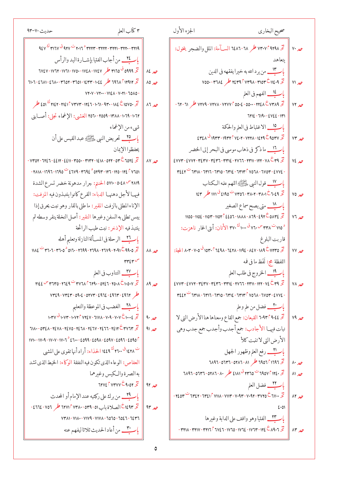| ۳ کتار                      |                  | الجزءالأول<br>صحيح البخاري                                                                                                                                                                                                                                        |                        |
|-----------------------------|------------------|-------------------------------------------------------------------------------------------------------------------------------------------------------------------------------------------------------------------------------------------------------------------|------------------------|
| - ۳۲۱۹                      |                  | تح ٧٣٠٧ أم ٧٣٠٧ طر ٦٤٨٦-٦٤٨٦ الســآمة: الملل والضجر يتخول:                                                                                                                                                                                                        | $V \cdot \mathcal{L}$  |
| باسسأ                       |                  | ىتعاهد                                                                                                                                                                                                                                                            |                        |
| تخ ۹۹                       | $M_{\star}$      | بارستان من يرد الله به خيرا يفقهه في الدين                                                                                                                                                                                                                        |                        |
| تخر ۱۱۲                     | صر ۸۵            | تخ ۱۱٤٠٩ - ۳۹۵ - ۳۹۸ - ۳۹۸ مطر ۷۵۵۰ - ۳۶۸۴                                                                                                                                                                                                                        | حد ۷۱                  |
| 1010-                       |                  | بالطبيل الفهم في العلم                                                                                                                                                                                                                                            |                        |
| تخ ٥٠                       | 17 <sub>10</sub> | تخه ٧٣٧٩ - ٧٣٧٧ - ٧٣٧٧ - ٧٢٧٧ - ٧٢٧٩ - ٧٢٧٩ طر ٦١-٦٢ -                                                                                                                                                                                                            | حد ۷۲                  |
| $-1 - 71$                   |                  | $7112 - 719 - 2122 - 111$                                                                                                                                                                                                                                         |                        |
| شىء                         |                  | باكف الاغتباط فى العلم والحكمة                                                                                                                                                                                                                                    |                        |
| باك                         |                  | $25$ $272$ $3944$ $-1944$ $-1243$ $-1249$ $-1249$ $-1249$ $-1249$ $-1249$ $-1249$ $-1249$ $-1249$ $-1249$ $-1249$ $-1249$ $-1249$ $-1249$ $-1249$ $-1249$ $-1249$ $-1249$ $-1249$ $-1249$ $-1249$ $-1249$ $-1249$ $-1249$ $-1$                                    | $Y^{\mu}$ مد           |
| يحفظو                       |                  | باسباب ماذكر في ذهاب موسى في البحر إلى الخضر                                                                                                                                                                                                                      |                        |
| تخ ٢٤                       | $\Delta V$       | $E$ VV۳ - $E$ VV۲ - ۳٤٣٧ - ۳٤٣٦ - ٣٣١٤ - ٢٧٦٦ - ٢٣١١ - ١٢٢ - ٧٨ $E$ ۳٩ $\tilde{Z}$                                                                                                                                                                                | حد ٧٤                  |
| $\gamma$                    |                  | $P$ $22Y$ <sup>-</sup> $T$ $T1$ $T$ - $T$ $T1$ - $T$ $T10$ - $T$ $T12$ - $T$ $T11$ $T$ $T$ $T10$ $T$ - $T10$ $T$ - $T10$                                                                                                                                          |                        |
| " MY9                       |                  | بار 11 قول النبي عَيْشِينَ اللهم علمه الكتاب                                                                                                                                                                                                                      |                        |
| فيها                        |                  | تخ 1.29 - 14.0 - ٢٨٠٢ - ٢٥٦٦ <sup>ت</sup> ١٧١٥ ق ١٧١ طر ١٤٣                                                                                                                                                                                                       | صر ۷۵                  |
| الإناء                      |                  | باريد السمتي يصح سماع الصغير                                                                                                                                                                                                                                      |                        |
| يبس ت                       |                  | $1100 - 1102 - 1104 - 1104$ $C_{201} - 1111 - 119 - 294$ $C_{0112}$ $C_{121}$                                                                                                                                                                                     | $Y^{\dagger}$ $\omega$ |
| ينتبذ ا                     |                  | ٧١٥ ت ٣٣٨ س٣٦. ق ١٠٠٠ كُ ٣٧. الأتان: أنثى الحمار ناهزت:                                                                                                                                                                                                           |                        |
| باسة                        |                  | قاربت البلوغ                                                                                                                                                                                                                                                      |                        |
| نخه ٥٠                      | $\lambda\lambda$ | تخر ١٢٣٥ - ١٨٩ - ١٩٤٧ - ١٩٤٤ - ١٩٤٨ - ١٥٢٨ اتحية: 10٣٠ - ١٠٣ المجة:                                                                                                                                                                                               | حد ۷۷                  |
| س ۳ ع                       |                  | اللفظة مج: لَفَظ ما في فمه                                                                                                                                                                                                                                        |                        |
| $\overline{\phantom{a}}$ با |                  | ب <mark>اب الحر</mark> وج في طلب العلم                                                                                                                                                                                                                            |                        |
| نځ ۰۷                       | $19\text{ m}$    | $2001 - 2001 - 1001 - 1001 - 1001 - 1001 - 1001 - 1001 - 1001 - 1001 - 1001 - 1001 - 1001 - 1001 - 1001 - 1001 - 1001 - 1001 - 1001 - 1001 - 1001 - 1001 - 1001 - 1001 - 1001 - 1001 - 1001 - 1001 - 1001 - 1001 - 1001 - 1001 - 1001 - 1001 - 1001 - 1001 - 100$ | $Y \wedge Z$           |
| طر ۲                        |                  | $T22Y - T411 - T417 - T410 - T412 - T414 - T607 - T404 - T406 - T407 - T404 - T400$                                                                                                                                                                               |                        |
| $\cup\mathfrak{l}$          |                  | باستعلم فضل من علم وعلم                                                                                                                                                                                                                                           |                        |
| تخ ، کی                     | 9.10             | تَّحْ ٦٠٩٣٢٩٠٤٤ القيعان: جمع القاع ومعناها هنا الأرض التي لا                                                                                                                                                                                                      | Y9                     |
| تخ ۱۳                       | 91 <sub>10</sub> | نبات فيهـا الأجادب: جمع أجدب وأجدب جمع جدب وهي                                                                                                                                                                                                                    |                        |
| $.090^{\circ}$              |                  | الأرض التي لا تنبت كلأ                                                                                                                                                                                                                                            |                        |
| ت ۲۸.                       |                  | باريس رفع العلم وظهور الجهل                                                                                                                                                                                                                                       |                        |
| العفاء                      |                  | تحر ٦٩٦٦ أ١٩٥٦ م (١٨ - ٥٢٨٦ - ٦٨٩٦ - ٦٨٩٦                                                                                                                                                                                                                         | $\lambda \cdot \mu$    |
| به الص                      |                  | تخ ١٢٤٠ ٦٩٥٧ ت ٢٣٦٥ ق ٤١٨١ طر ٨٠ - ٢٨٦٦ - ٦٣٦٦ - ٦٨٩٦                                                                                                                                                                                                             | $M_{\nu}$              |
| تخ ٥٢                       | حد ۹۲            | باستي فضل العلم                                                                                                                                                                                                                                                   |                        |
| باك                         |                  | تخ ۲۷۰۰ ت ۱۳۷۲ - ۲۴۷۲ - ۲۰۹۳ - ۲۱۱۷ - ۲۱۱۷ <sup>5</sup> کالا است ۲۷۵۴ <sup>ت</sup> ۲۷۵۴ -                                                                                                                                                                         | حد ۸۲                  |
| تخ ۲۳                       | $94^{\circ}$     | 2.01                                                                                                                                                                                                                                                              |                        |
| 7247                        |                  | بإكلام الفتيا وهو واقف على الدابة وغيرها                                                                                                                                                                                                                          |                        |
| باسنه                       |                  | تخ ١٩٠٦ج ١٣٤٢-١٧٦٣-١٧٦٤-١٧٦٤-١٧٦٤-١٧٦٣-١٣٤                                                                                                                                                                                                                        | $\Delta f$ $\omega$    |

| ۳ كتاب العلم<br>حديث ٧٠-٩٣                                                                           |                       |
|------------------------------------------------------------------------------------------------------|-----------------------|
| ۹٤٧ - ٣٢٢٠ - ٣٢٢٢ - ٣٢٢٣ - ٣٢٢٣ <sup>-</sup> ٢٠١٦ <sup>ت</sup> ٩٤٧ قى ٣١٦٧ ك                         |                       |
| ب <u>ا عظم</u> من أجاب الفتيا بإشــارة اليد والرأس                                                   |                       |
| تخ ٥٩٩٩ه <sup>ق</sup> ٣١٥٥ طر ١٧٤٧-١٧٤٨ -١٧٥٠-١٧٦١ - ٦٧٤٧ مكلا                                       | KE A                  |
| تخ ۱۹۶۲ ثار ۱۶۹۲ حکم - ۱۶۴۴ - ۱۶۴۲ - ۱۵۱۱ - ۱۵۲۲ - ۱۰۸۰ - ۱۰۱۱ - ۱۰۱۱                                | $\lambda$             |
| $VY*V - VY*-VYZA - V*YI - TOAO -$                                                                    |                       |
| تخ ١٥٧٥٠ £ ٤٥١ - ٤٣٠ - ٤٦٠ - ٢١٤٢ - ٣١٤٢ - ٢١٤٢ - ٢١٤٢ محكم المسجد المصر المسجد المسجد المسجد المسجد | $\lambda$ $\lambda$   |
| ٠٠٦٢- ١٣٨٨- ٢٥٥٩- ٢٥٦٠ الغشي: الإغماء تجلي: أصــابني                                                 |                       |
| شيءمن الإغماء                                                                                        |                       |
| ب <mark>ا بِ ٢٥ _</mark> تحريض النبي ءليَّظنيل عبد القيس على أن                                      |                       |
| يحفظوا الإيمان                                                                                       |                       |
| - ۱۳۵۷ - ۱۲۷۲ - ۱۳۵۶ - ۱۳۸۸ - ۱۳۵۲ - ۱۳۵۰ - ۱۳۵۲ - ۱۳۵۲ - ۱۳۵۲ - ۱۳۵۲                                | $\lambda$ Y $\lambda$ |
| - ۲۸۱۸ - ۱۲۶۱ - ۱۲۹۲ - ۲۹۴۴ - ۲۷۹۴ - ۲۷۹۴ - ۲۸۱۸ - ۲۸۱۱ - ۲۸۱۸                                       |                       |
| ٢٨١٩ ٣ -٥٠٤٨ -٥٧١٠ الحنتم: جرار مدهونة خضر تسرع الشدة                                                |                       |
| فيهــا لأجل دهنهــا الدباء: القرع كانوا ينتبذون فيه المزفت:                                          |                       |
| الإناءالمطلى بالزفت المقير: ما طلى بالقار وهو نبت يحرق إذا                                           |                       |
| يبس تطلى به السفن وغيرها النقير : أصل النخلة ينقر وسطه ثم                                            |                       |
| ينتبذفيه الإذخر: نبت طيب الرائحة                                                                     |                       |
| بإكسب الرحلة فى المســألة النازلة وتعليم أهله                                                        |                       |
| تخ ٣٦٠٥- ٣٦٠٥- ١٦٩٩- ٢٦٩٨- ٢٦٩٨- ٣٦٠٥ <sup>-</sup> ٣٦٠٥- ٣٦٠٦- ٣٦٠٥                                  | $\lambda\lambda$      |
| س ۳۲ وس                                                                                              |                       |
| باسكلا التناوب في العلم                                                                              |                       |
| تخ ١٠٥٠٧ - ٢٦٤٩ - ٣٧٦٨ - ٣٧٦٨ <sup>ت</sup> ٣٧٦٨ - ٣٦٤٥ <sup>س</sup> ٢١٤٤                             | $\lambda$ ٩           |
| طر ۷۳۷۶-۳۳۰۵۹۰۷-۵۲۷۳-۱۹۶۷-۲۳۷۴-۲۳۶                                                                   |                       |
| بإكبيل الغضب في الموعظة والتعليم                                                                     |                       |
| تخ ١٠٠٤-١٠٧٣-١٠٧٢- ١٧٢٤٧- ٧٢٤٧- ١٠٧٣- ١٠٧٣ ق ١٠٣٧                                                    | 9.4                   |
| تخر ٦١٨٠-٥٣٤٨ - ٦٤٧٦ - ٢٤٦٧ - ٢٤٦٨ - ٢٤٦٧ - ٢٤٧٨ - ٦١٨٠                                              | عد ۹۱                 |
| $1111 - 11119 - 111111 - 21111 - 2099 - 20911 - 20911 - 2097 - 2090$                                 |                       |
| <sup>ت</sup> ١٤٢٨ <sup>ق</sup> ٢٦٠٠ <sup>ك</sup> ١٤٤٩ الحذاء: أراد أنها تقوى على المشي               |                       |
| العفاص: الوعاءالذي تكون فيه النفقة الوكاء: الخيط الذي تشد                                            |                       |
| به الصرة والكيس وغيرهما                                                                              |                       |
| 17YE PYTYY CA.OY 3                                                                                   | $4r_{\mathcal{A}}$    |
| ب <u>ار ٢٩ من براء على ر</u> كبتيه عندالإمام أو المحدث                                               |                       |
| تخر ١٤٩٣ في الصلاة باب ٥١- ٢٣٨٠- ٢٣٧١ أ ٦٢٧١ طر ٤٦٦٤- ٢٦٦٤-                                          | $94^{\circ}$          |
| ۷۳۸۱ - ۷۱۸۰ - ۷۱۷۹ - ۷۱۷۸ - ۲۰۱۰ - ۲۵۵۲ - ۲۷۳                                                        |                       |
| بإسبيل من أعادالحديث ثلاثا ليفهم عنه                                                                 |                       |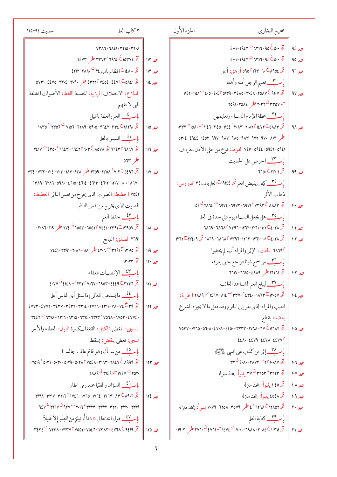| ۳ كتاب العلم<br>حديث ٩٤–١٢٥                                                                                                                                                                                                                                                                            |                        | الجزءالأول<br>صحيح البخاري                                                                                                                                                                                                                                                                                   |                              |
|--------------------------------------------------------------------------------------------------------------------------------------------------------------------------------------------------------------------------------------------------------------------------------------------------------|------------------------|--------------------------------------------------------------------------------------------------------------------------------------------------------------------------------------------------------------------------------------------------------------------------------------------------------------|------------------------------|
| $VYAX - 7XZ - YY0 - YY^2$                                                                                                                                                                                                                                                                              |                        | $2.1 - 1921 - 111 - 9000 - 3$                                                                                                                                                                                                                                                                                | 92, 10                       |
| $Y \in YY$ م ۳۳۷۲۴ ۱۹۶۷ مگر ۲٤۷۳                                                                                                                                                                                                                                                                       | 117                    | $2.1 - 1921 - 111 - 920 - 32$                                                                                                                                                                                                                                                                                | $90\mu$                      |
| تخ ١٤٨٠٠ تم المظالم باب ٢٤ ت ٢٨٨٠-٤٢١٢                                                                                                                                                                                                                                                                 | $114^{\circ}$          | تح ٨٩٥٤ج.٦-١٦٣ ٥٩٥٢ أرهق: أخر                                                                                                                                                                                                                                                                                | مد ۹٦                        |
| تخ 2011-2271 - 2016 CPTY وطر ٣٠٩٠ - 2016 - 2241 - 2016 - 0711                                                                                                                                                                                                                                          | صر ١١٤                 | باسبت تعليم الرجل أمته وأهله                                                                                                                                                                                                                                                                                 |                              |
| التنازع: الاختلاف الرزية: المصيبة اللغط: الأصوات المختلفة                                                                                                                                                                                                                                              |                        | $1121 - 1121 - 2.0 - 2.2$ $0.14 - 42.0 - 4.21 - 40.14 - 4.14$                                                                                                                                                                                                                                                | ٩٧ مه                        |
| التي لا تفهم                                                                                                                                                                                                                                                                                           |                        |                                                                                                                                                                                                                                                                                                              |                              |
| بإستقف العلم والعظة بالليل                                                                                                                                                                                                                                                                             |                        | باستب عظة الإمام النساء وتعليمهن                                                                                                                                                                                                                                                                             |                              |
|                                                                                                                                                                                                                                                                                                        | $\parallel$ ۱۱۵ $\sim$ |                                                                                                                                                                                                                                                                                                              | صر ۹۸                        |
| باكس السمر بالعلم                                                                                                                                                                                                                                                                                      |                        | - ٥٣٠٤ - ٤٩٤٤ - ١٤٥٢ - ٩٨٧ - ٩٨٧ - ٩٨٥ - ٩٨٣ - ٩٧٢ - ٩٧٠ - ٢٩٤٤                                                                                                                                                                                                                                              |                              |
| حد ١١٦    تخر ١٦٤٧٦ ته ١٤٣٢ تخر ٨٥٧٨ تخ ١٦٤٣٦- ٦٦٤٣ - ٢٤١٧ ت ٢٤١٧                                                                                                                                                                                                                                      |                        | ٥٩٤١-٥٩٤٢-٥٩٤٤ القرط: نوع من حلي الأذن معروف                                                                                                                                                                                                                                                                 |                              |
| 074                                                                                                                                                                                                                                                                                                    |                        | ب <mark>اب ٣٣</mark> _ الحرص على الحديث                                                                                                                                                                                                                                                                      |                              |
| 7 - ١٣٥٩ - ١٣٥٨ - ١٣٥٩ - ١٣٥٩ مگر ١٣٨١ - ١٨٣٣ - ١٣٢٤ - ١٣٢٤ - ١٣٢٤                                                                                                                                                                                                                                     | مد ۱۱۷                 | 770. $Z$  ۳   $Z$   99 $\omega$                                                                                                                                                                                                                                                                              |                              |
| $-7729 - 7717 - 0911 - 2710 - 2712 - 27117 - 2717 - 1719 - 1119 - 1719 - 1919$                                                                                                                                                                                                                         |                        | بالطبيع كيف يقبض العلم تح ١٩١٤٤ العلم باب ٣٤ الدروس:                                                                                                                                                                                                                                                         |                              |
| ٧٥٤٢ الخطيط: الصوت الذي يخرج من نفس النائر الغطيط:                                                                                                                                                                                                                                                     |                        | ذهاب الأثر                                                                                                                                                                                                                                                                                                   |                              |
| الصوت الذي يخرج من نفس النائم                                                                                                                                                                                                                                                                          |                        |                                                                                                                                                                                                                                                                                                              | $\mathbf{P}$                 |
| بالطبيق حفظ العلم                                                                                                                                                                                                                                                                                      |                        | ب <mark>ا ب °C</mark> هل يجعل للنســاء يوم على حدة في العلم                                                                                                                                                                                                                                                  |                              |
| تحتى ١٣٩٥٧-٣٩١٦-٣٤٤١ - ٦٥٥٣- ٦٥٥٣ ص ٢٧٤ طر ٢٧٩-٢٠٨٦-                                                                                                                                                                                                                                                   | $M \sim 10$            | حد ١٠١    تخه ٢٠١٨-٢٦٦-١٠٢٦١-١٠٢٦-٩-٩٦٨٦ - ٦٨٦٩                                                                                                                                                                                                                                                              |                              |
| ۳٦٩١ الصفق: التبايع                                                                                                                                                                                                                                                                                    |                        | تخ ١٢٨٨- ١٣٦١- ١٣٦٢- ١٣٦٢- ١٣٩٦ - ١٣٦٨ تخ ١٣٤٠٩ تخليل ١٣٦٢                                                                                                                                                                                                                                                   | 1.7 <sub>10</sub>            |
| $V221 - YY31 - Y11 - Y11$ $A \neq Y17 - Y191 - Y105$ $Z = 20$                                                                                                                                                                                                                                          | $119$ مد               | 1۸٦٩ الحنث: الإثر والمرادأنهم لم يحتلموا                                                                                                                                                                                                                                                                     |                              |
| تخ ۱۳۰۲۳                                                                                                                                                                                                                                                                                               | 11.20                  | باستيك من سمع شيئا فراجع حتى يعرفه                                                                                                                                                                                                                                                                           |                              |
| بالطلب الإنصات للعلماء                                                                                                                                                                                                                                                                                 |                        | حد ١٠٣    تحر ١٦٢٦١ طر ٤٩٨٩-١٦٦٥-١٦٦١٧                                                                                                                                                                                                                                                                       |                              |
| $2.444$ $\frac{3}{2}$ $2121$ $\frac{3}{2}$ $111$ $\frac{3}{2}$ $111$ $\frac{3}{2}$ $111$ $\frac{3}{2}$ $111$ $\frac{3}{2}$ $\frac{3}{2}$ $\frac{3}{2}$ $\frac{3}{2}$ $\frac{3}{2}$ $\frac{3}{2}$ $\frac{3}{2}$ $\frac{3}{2}$ $\frac{3}{2}$ $\frac{3}{2}$ $\frac{3}{2}$ $\frac{3}{2}$ $\frac{3}{2}$ $\$ | $111$ مد               | بإكليل ليبلغ العلم الشساهد الغائب                                                                                                                                                                                                                                                                            |                              |
| بارتكنا ما يستحب للعالمر إذا سئل أى الناس أعلم                                                                                                                                                                                                                                                         |                        | صر ١٠٤    تخ ١٢٠٥٧-٢٣٧-١٤٣٤٠-١٣٣٧٠ ت ١٤٦٧-١٤٦٧ مس ٢٨٨٩ الخوبة:                                                                                                                                                                                                                                               |                              |
| $EVVY - EVVY - VEYV - VEYY - VYYE - VVYY - YYY - VYE - YEZ$                                                                                                                                                                                                                                            | $\parallel$ ۱۲۲ مد     | العيب والمرادالذي يفر إلى الحرم وقد فعل ما لا يجيزه الشرع                                                                                                                                                                                                                                                    |                              |
| $P$ <i>ii</i> $P$ $\sim$ $P$ $\sim$ $P$ $\sim$ $P$ $\sim$ $P$ $\sim$ $P$ $\sim$ $P$ $\sim$ $P$ $\sim$ $P$ $\sim$ $P$ $\sim$ $P$ $\sim$ $P$ $\sim$ $P$ $\sim$ $P$ $\sim$ $P$ $\sim$ $P$ $\sim$ $P$ $\sim$ $P$ $\sim$ $P$ $\sim$ $P$ $\sim$ $P$ $\sim$ $P$ $\sim$ $P$ $\sim$ $P$ $\$                     |                        | يعضد: يقطع                                                                                                                                                                                                                                                                                                   |                              |
| المسجى: المغطى المكتل: القفة الكبيرة النول: العطاءوالأجر                                                                                                                                                                                                                                               |                        | VO۳۷-VI TO-07+۸-٤۷+۸-٤٤٥٠-٣٢٣٣-۱٧٦٨- ٦٧ ČII TAY                                                                                                                                                                                                                                                              | $1.0\mu$                     |
| تسجى: تغطي ينقض: يسقط                                                                                                                                                                                                                                                                                  |                        | $22\lambda - 22\lambda - 22$                                                                                                                                                                                                                                                                                 |                              |
| باب 20 من سـأل وهو قائم عالمــا جالســا                                                                                                                                                                                                                                                                |                        | باكليك إثمر من كذب على النبي ءَيْشِيلُمْ                                                                                                                                                                                                                                                                     |                              |
| $ 1019 - 0.11 - 0.11 - 0.19 - 0.11$ $1021 - 1111 - 1121$                                                                                                                                                                                                                                               | حد ۱۲۳                 | $T^{\circ}$ 2. 1. 11 $T^{\circ}$ 7 1 $\cdot$ 10 $\cdot$ 10 $\cdot$ 10 $\cdot$ 10 $\cdot$ 10 $\cdot$ 10 $\cdot$ 10 $\cdot$ 10 $\cdot$ 10 $\cdot$ 10 $\cdot$ 10 $\cdot$ 10 $\cdot$ 10 $\cdot$ 10 $\cdot$ 10 $\cdot$ 10 $\cdot$ 10 $\cdot$ 10 $\cdot$ 10 $\cdot$ 10 $\cdot$ 10 $\cdot$ 10 $\cdot$ 10 $\cdot$ 10 | $1.7 - 10$                   |
| $Y\Lambda\Lambda$ ۹ میلاد ۱۷٤۷ س ۳۱٤۹ میل                                                                                                                                                                                                                                                              |                        | تِّح ۳٦٣٣°٣٦٥٣ <sup>ق</sup> ٣٧ يتبوأ: يتخذ منزله                                                                                                                                                                                                                                                             | 1.4                          |
| بإسبائك السؤال والفتيا عندرمي الجمار                                                                                                                                                                                                                                                                   |                        | ثح ١٠٤٥ يتبوأ: يتخذ منزله                                                                                                                                                                                                                                                                                    | 1.1                          |
| $-$ ٣٢١٨ - ٣٢١٧ - ٣٢١٦ ٢ ٦٧٤٦ - ١٧٦٥ - ١٧٦٤ - ١٧٦٣ - ٨٣ $\zeta$                                                                                                                                                                                                                                        | 112                    | تح ٤٥٤٨ يتبوأ: يتخذ منزله                                                                                                                                                                                                                                                                                    | $1.9$ $\mu$                  |
| 9٤٧ - ٢٢٢٠ - ٢٢٢٢ - ٢٢٢٣ - ٣٢٢٣ - ٣٢٢٠ - ٣٢٢٠ - ٣٢٢٠                                                                                                                                                                                                                                                   |                        | تح ١٢٨٥٢تُ ٦٢٦٨ أ ٤ طُر ٣٥٧٩- ٢٥٨٠ - ٧٠٧٩ يتبوأ: يتحذ منزله                                                                                                                                                                                                                                                  | W <sub>1</sub>               |
| بِالْكِمْـ قول الله تعالى ۞ وَمَا أُوتِيتُمْ مِنَ الْعِلْمِ إِلاَّ قَلِيلاً                                                                                                                                                                                                                            |                        | باكستين كتابة العلم                                                                                                                                                                                                                                                                                          |                              |
| TETE - VYTH-VYTY P VOOY-VOET-VTAT-EVTA CAEIA 3                                                                                                                                                                                                                                                         | حد ١٢٥                 | تحر ٢٠٣١١ - ١٩٨٨- ٦٩٨٨ - ٧٠٠١ <sup>ت</sup> ١٤٧٤ <sup>س</sup> ٢٧٦١ على ٢٧٦٠ مكر ١٩٠٣                                                                                                                                                                                                                          | $M_{\star}$ صر ا $M_{\star}$ |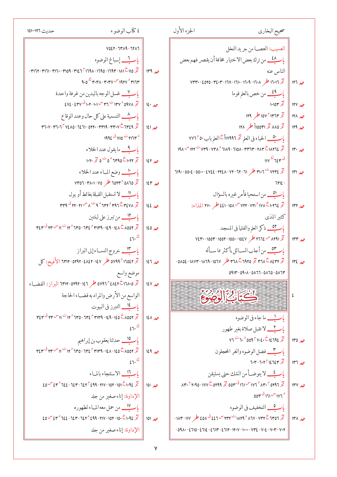$\pmb{\mathsf{Y}}$